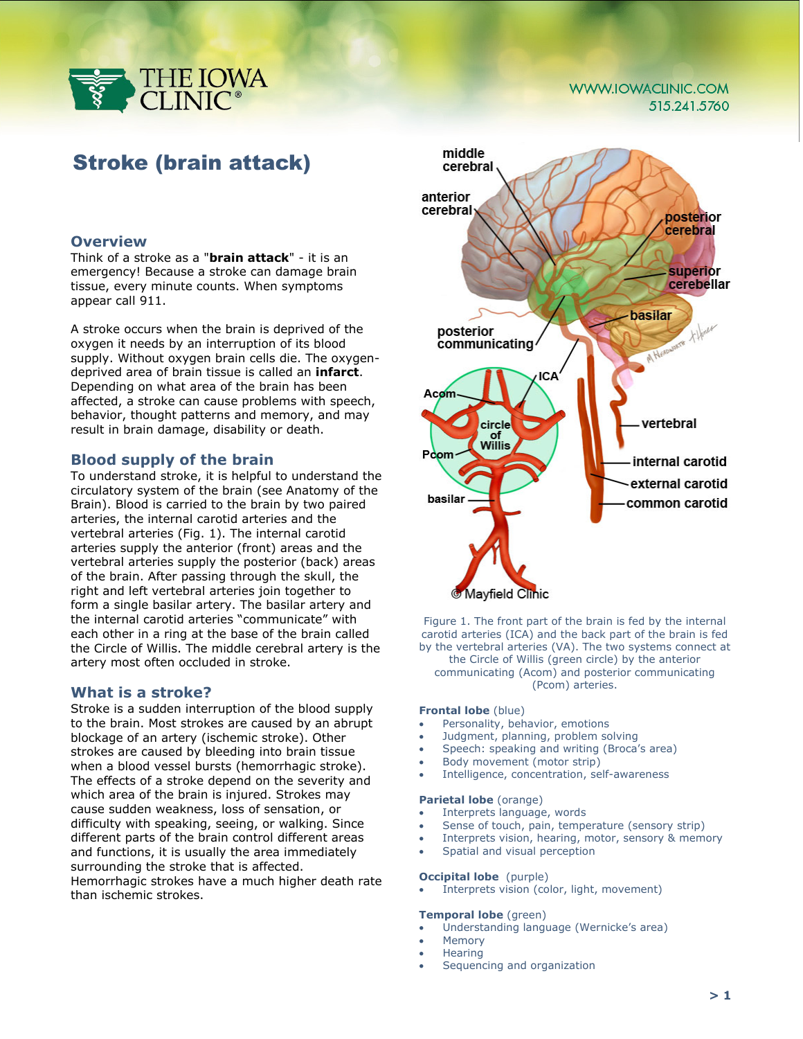

#### **WWW.IOWACLINIC.COM** 515.241.5760

# Stroke (brain attack)

## **Overview**

Think of a stroke as a "**brain attack**" - it is an emergency! Because a stroke can damage brain tissue, every minute counts. When symptoms appear call 911.

A stroke occurs when the brain is deprived of the oxygen it needs by an interruption of its blood supply. Without oxygen brain cells die. The oxygendeprived area of brain tissue is called an **infarct**. Depending on what area of the brain has been affected, a stroke can cause problems with speech, behavior, thought patterns and memory, and may result in brain damage, disability or death.

# **Blood supply of the brain**

To understand stroke, it is helpful to understand the circulatory system of the brain (see Anatomy of the Brain). Blood is carried to the brain by two paired arteries, the internal carotid arteries and the vertebral arteries (Fig. 1). The internal carotid arteries supply the anterior (front) areas and the vertebral arteries supply the posterior (back) areas of the brain. After passing through the skull, the right and left vertebral arteries join together to form a single basilar artery. The basilar artery and the internal carotid arteries "communicate" with each other in a ring at the base of the brain called the Circle of Willis. The middle cerebral artery is the artery most often occluded in stroke.

#### **What is a stroke?**

Stroke is a sudden interruption of the blood supply to the brain. Most strokes are caused by an abrupt blockage of an artery (ischemic stroke). Other strokes are caused by bleeding into brain tissue when a blood vessel bursts (hemorrhagic stroke). The effects of a stroke depend on the severity and which area of the brain is injured. Strokes may cause sudden weakness, loss of sensation, or difficulty with speaking, seeing, or walking. Since different parts of the brain control different areas and functions, it is usually the area immediately surrounding the stroke that is affected. Hemorrhagic strokes have a much higher death rate than ischemic strokes.



Figure 1. The front part of the brain is fed by the internal carotid arteries (ICA) and the back part of the brain is fed by the vertebral arteries (VA). The two systems connect at the Circle of Willis (green circle) by the anterior communicating (Acom) and posterior communicating (Pcom) arteries.

#### **Frontal lobe** (blue)

- Personality, behavior, emotions
- Judgment, planning, problem solving
- Speech: speaking and writing (Broca's area)
- Body movement (motor strip)
- Intelligence, concentration, self-awareness

#### **Parietal lobe** (orange)

- Interprets language, words
- Sense of touch, pain, temperature (sensory strip)
- Interprets vision, hearing, motor, sensory & memory
- Spatial and visual perception

#### **Occipital lobe** (purple)

Interprets vision (color, light, movement)

# **Temporal lobe** (green)

- Understanding language (Wernicke's area)
- **Memory**
- Hearing
- Sequencing and organization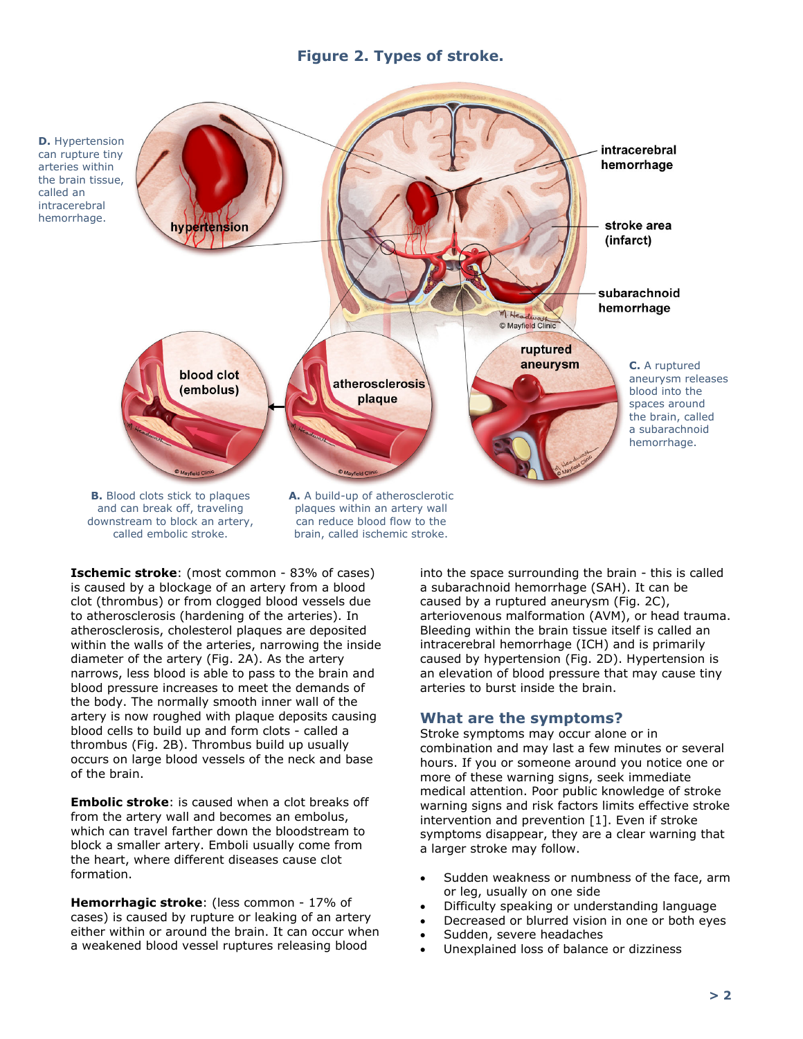# **Figure 2. Types of stroke.**



**Ischemic stroke**: (most common - 83% of cases) is caused by a blockage of an artery from a blood clot (thrombus) or from clogged blood vessels due to atherosclerosis (hardening of the arteries). In atherosclerosis, cholesterol plaques are deposited within the walls of the arteries, narrowing the inside diameter of the artery (Fig. 2A). As the artery narrows, less blood is able to pass to the brain and blood pressure increases to meet the demands of the body. The normally smooth inner wall of the artery is now roughed with plaque deposits causing blood cells to build up and form clots - called a thrombus (Fig. 2B). Thrombus build up usually occurs on large blood vessels of the neck and base of the brain.

**Embolic stroke**: is caused when a clot breaks off from the artery wall and becomes an embolus, which can travel farther down the bloodstream to block a smaller artery. Emboli usually come from the heart, where different diseases cause clot formation.

**Hemorrhagic stroke**: (less common - 17% of cases) is caused by rupture or leaking of an artery either within or around the brain. It can occur when a weakened blood vessel ruptures releasing blood

into the space surrounding the brain - this is called a subarachnoid hemorrhage (SAH). It can be caused by a ruptured aneurysm (Fig. 2C), arteriovenous malformation (AVM), or head trauma. Bleeding within the brain tissue itself is called an intracerebral hemorrhage (ICH) and is primarily caused by hypertension (Fig. 2D). Hypertension is an elevation of blood pressure that may cause tiny arteries to burst inside the brain.

# **What are the symptoms?**

Stroke symptoms may occur alone or in combination and may last a few minutes or several hours. If you or someone around you notice one or more of these warning signs, seek immediate medical attention. Poor public knowledge of stroke warning signs and risk factors limits effective stroke intervention and prevention [1]. Even if stroke symptoms disappear, they are a clear warning that a larger stroke may follow.

- Sudden weakness or numbness of the face, arm or leg, usually on one side
- Difficulty speaking or understanding language
- Decreased or blurred vision in one or both eyes
- Sudden, severe headaches
- Unexplained loss of balance or dizziness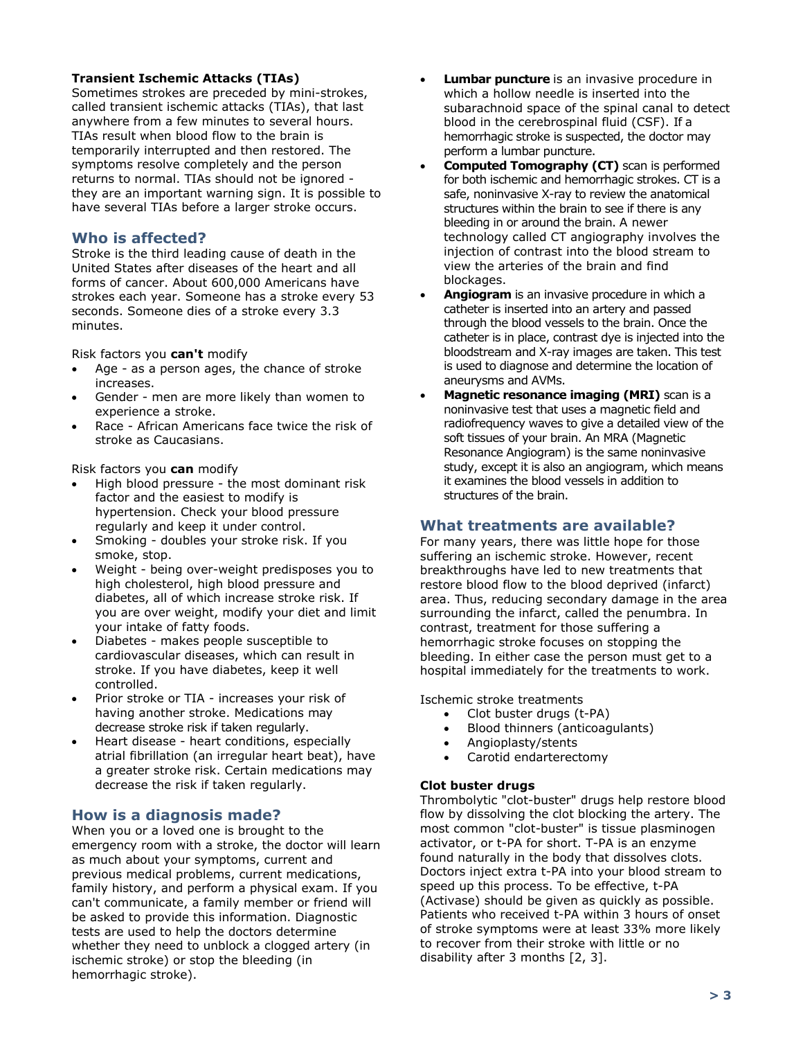### **Transient Ischemic Attacks (TIAs)**

Sometimes strokes are preceded by mini-strokes, called transient ischemic attacks (TIAs), that last anywhere from a few minutes to several hours. TIAs result when blood flow to the brain is temporarily interrupted and then restored. The symptoms resolve completely and the person returns to normal. TIAs should not be ignored they are an important warning sign. It is possible to have several TIAs before a larger stroke occurs.

# **Who is affected?**

Stroke is the third leading cause of death in the United States after diseases of the heart and all forms of cancer. About 600,000 Americans have strokes each year. Someone has a stroke every 53 seconds. Someone dies of a stroke every 3.3 minutes.

Risk factors you **can't** modify

- Age as a person ages, the chance of stroke increases.
- Gender men are more likely than women to experience a stroke.
- Race African Americans face twice the risk of stroke as Caucasians.

Risk factors you **can** modify

- High blood pressure the most dominant risk factor and the easiest to modify is hypertension. Check your blood pressure regularly and keep it under control.
- Smoking doubles your stroke risk. If you smoke, stop.
- Weight being over-weight predisposes you to high cholesterol, high blood pressure and diabetes, all of which increase stroke risk. If you are over weight, modify your diet and limit your intake of fatty foods.
- Diabetes makes people susceptible to cardiovascular diseases, which can result in stroke. If you have diabetes, keep it well controlled.
- Prior stroke or TIA increases your risk of having another stroke. Medications may decrease stroke risk if taken regularly.
- Heart disease heart conditions, especially atrial fibrillation (an irregular heart beat), have a greater stroke risk. Certain medications may decrease the risk if taken regularly.

# **How is a diagnosis made?**

When you or a loved one is brought to the emergency room with a stroke, the doctor will learn as much about your symptoms, current and previous medical problems, current medications, family history, and perform a physical exam. If you can't communicate, a family member or friend will be asked to provide this information. Diagnostic tests are used to help the doctors determine whether they need to unblock a clogged artery (in ischemic stroke) or stop the bleeding (in hemorrhagic stroke).

- **Lumbar puncture** is an invasive procedure in which a hollow needle is inserted into the subarachnoid space of the spinal canal to detect blood in the cerebrospinal fluid (CSF). If a hemorrhagic stroke is suspected, the doctor may perform a lumbar puncture.
- **Computed Tomography (CT)** scan is performed for both ischemic and hemorrhagic strokes. CT is a safe, noninvasive X-ray to review the anatomical structures within the brain to see if there is any bleeding in or around the brain. A newer technology called CT angiography involves the injection of contrast into the blood stream to view the arteries of the brain and find blockages.
- **Angiogram** is an invasive procedure in which a catheter is inserted into an artery and passed through the blood vessels to the brain. Once the catheter is in place, contrast dye is injected into the bloodstream and X-ray images are taken. This test is used to diagnose and determine the location of aneurysms and AVMs.
- **Magnetic resonance imaging (MRI)** scan is a noninvasive test that uses a magnetic field and radiofrequency waves to give a detailed view of the soft tissues of your brain. An MRA (Magnetic Resonance Angiogram) is the same noninvasive study, except it is also an angiogram, which means it examines the blood vessels in addition to structures of the brain.

# **What treatments are available?**

For many years, there was little hope for those suffering an ischemic stroke. However, recent breakthroughs have led to new treatments that restore blood flow to the blood deprived (infarct) area. Thus, reducing secondary damage in the area surrounding the infarct, called the penumbra. In contrast, treatment for those suffering a hemorrhagic stroke focuses on stopping the bleeding. In either case the person must get to a hospital immediately for the treatments to work.

Ischemic stroke treatments

- Clot buster drugs (t-PA)
- Blood thinners (anticoagulants)
- Angioplasty/stents
- Carotid endarterectomy

#### **Clot buster drugs**

Thrombolytic "clot-buster" drugs help restore blood flow by dissolving the clot blocking the artery. The most common "clot-buster" is tissue plasminogen activator, or t-PA for short. T-PA is an enzyme found naturally in the body that dissolves clots. Doctors inject extra t-PA into your blood stream to speed up this process. To be effective, t-PA (Activase) should be given as quickly as possible. Patients who received t-PA within 3 hours of onset of stroke symptoms were at least 33% more likely to recover from their stroke with little or no disability after 3 months [2, 3].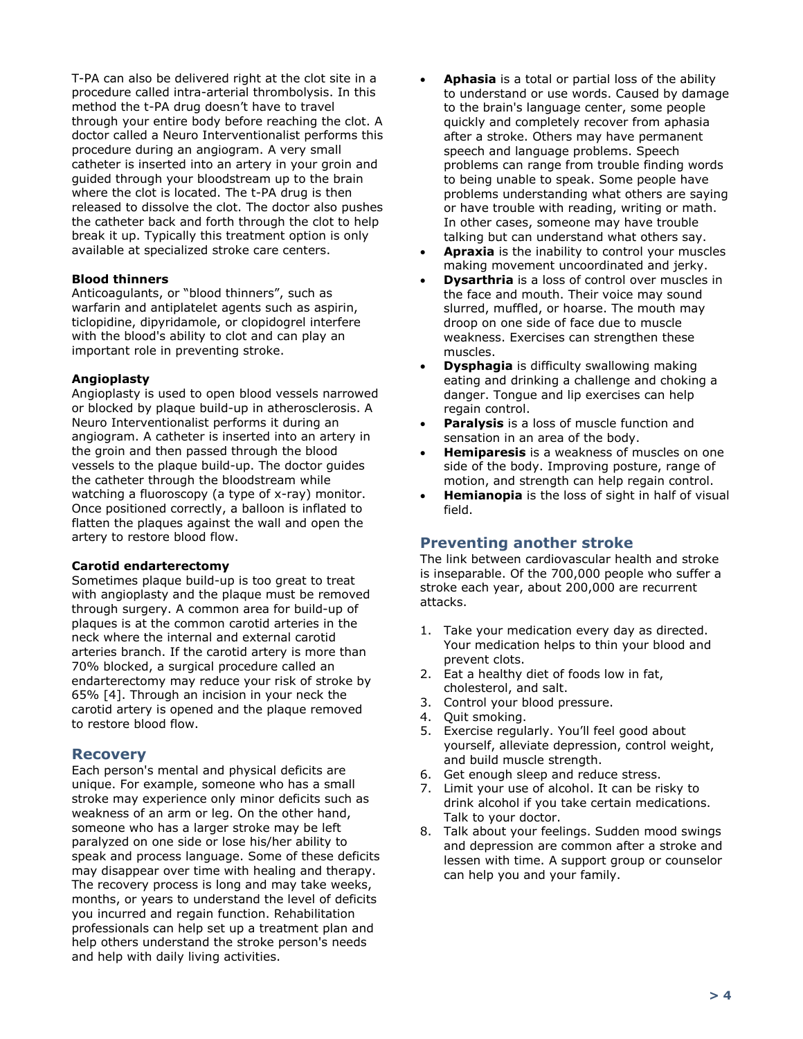T-PA can also be delivered right at the clot site in a procedure called intra-arterial thrombolysis. In this method the t-PA drug doesn't have to travel through your entire body before reaching the clot. A doctor called a Neuro Interventionalist performs this procedure during an angiogram. A very small catheter is inserted into an artery in your groin and guided through your bloodstream up to the brain where the clot is located. The t-PA drug is then released to dissolve the clot. The doctor also pushes the catheter back and forth through the clot to help break it up. Typically this treatment option is only available at specialized stroke care centers.

#### **Blood thinners**

Anticoagulants, or "blood thinners", such as warfarin and antiplatelet agents such as aspirin, ticlopidine, dipyridamole, or clopidogrel interfere with the blood's ability to clot and can play an important role in preventing stroke.

#### **Angioplasty**

Angioplasty is used to open blood vessels narrowed or blocked by plaque build-up in atherosclerosis. A Neuro Interventionalist performs it during an angiogram. A catheter is inserted into an artery in the groin and then passed through the blood vessels to the plaque build-up. The doctor guides the catheter through the bloodstream while watching a fluoroscopy (a type of x-ray) monitor. Once positioned correctly, a balloon is inflated to flatten the plaques against the wall and open the artery to restore blood flow.

#### **Carotid endarterectomy**

Sometimes plaque build-up is too great to treat with angioplasty and the plaque must be removed through surgery. A common area for build-up of plaques is at the common carotid arteries in the neck where the internal and external carotid arteries branch. If the carotid artery is more than 70% blocked, a surgical procedure called an endarterectomy may reduce your risk of stroke by 65% [4]. Through an incision in your neck the carotid artery is opened and the plaque removed to restore blood flow.

#### **Recovery**

Each person's mental and physical deficits are unique. For example, someone who has a small stroke may experience only minor deficits such as weakness of an arm or leg. On the other hand, someone who has a larger stroke may be left paralyzed on one side or lose his/her ability to speak and process language. Some of these deficits may disappear over time with healing and therapy. The recovery process is long and may take weeks, months, or years to understand the level of deficits you incurred and regain function. Rehabilitation professionals can help set up a treatment plan and help others understand the stroke person's needs and help with daily living activities.

- **Aphasia** is a total or partial loss of the ability to understand or use words. Caused by damage to the brain's language center, some people quickly and completely recover from aphasia after a stroke. Others may have permanent speech and language problems. Speech problems can range from trouble finding words to being unable to speak. Some people have problems understanding what others are saying or have trouble with reading, writing or math. In other cases, someone may have trouble talking but can understand what others say.
- Apraxia is the inability to control your muscles making movement uncoordinated and jerky.
- **Dysarthria** is a loss of control over muscles in the face and mouth. Their voice may sound slurred, muffled, or hoarse. The mouth may droop on one side of face due to muscle weakness. Exercises can strengthen these muscles.
- **Dysphagia** is difficulty swallowing making eating and drinking a challenge and choking a danger. Tongue and lip exercises can help regain control.
- **Paralysis** is a loss of muscle function and sensation in an area of the body.
- **Hemiparesis** is a weakness of muscles on one side of the body. Improving posture, range of motion, and strength can help regain control.
- **Hemianopia** is the loss of sight in half of visual field.

#### **Preventing another stroke**

The link between cardiovascular health and stroke is inseparable. Of the 700,000 people who suffer a stroke each year, about 200,000 are recurrent attacks.

- 1. Take your medication every day as directed. Your medication helps to thin your blood and prevent clots.
- 2. Eat a healthy diet of foods low in fat, cholesterol, and salt.
- 3. Control your blood pressure.
- 4. Quit smoking.
- 5. Exercise regularly. You'll feel good about yourself, alleviate depression, control weight, and build muscle strength.
- 6. Get enough sleep and reduce stress.
- 7. Limit your use of alcohol. It can be risky to drink alcohol if you take certain medications. Talk to your doctor.
- 8. Talk about your feelings. Sudden mood swings and depression are common after a stroke and lessen with time. A support group or counselor can help you and your family.